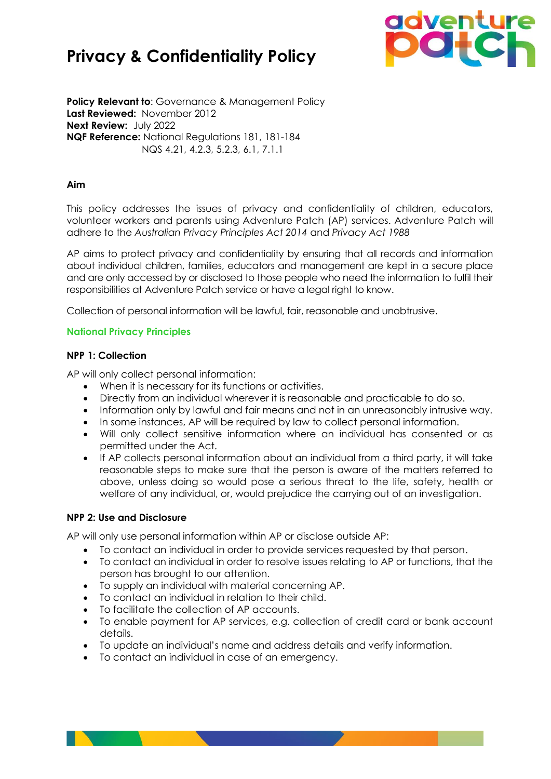# **Privacy & Confidentiality Policy**



**Policy Relevant to: Governance & Management Policy Last Reviewed:** November 2012 **Next Review:** July 2022 **NQF Reference:** National Regulations 181, 181-184 NQS 4.21, 4.2.3, 5.2.3, 6.1, 7.1.1

## **Aim**

This policy addresses the issues of privacy and confidentiality of children, educators, volunteer workers and parents using Adventure Patch (AP) services. Adventure Patch will adhere to the *Australian Privacy Principles Act 2014* and *Privacy Act 1988*

AP aims to protect privacy and confidentiality by ensuring that all records and information about individual children, families, educators and management are kept in a secure place and are only accessed by or disclosed to those people who need the information to fulfil their responsibilities at Adventure Patch service or have a legal right to know.

Collection of personal information will be lawful, fair, reasonable and unobtrusive.

## **National Privacy Principles**

## **NPP 1: Collection**

AP will only collect personal information:

- When it is necessary for its functions or activities.
- Directly from an individual wherever it is reasonable and practicable to do so.
- Information only by lawful and fair means and not in an unreasonably intrusive way.
- In some instances, AP will be required by law to collect personal information.
- Will only collect sensitive information where an individual has consented or as permitted under the Act.
- If AP collects personal information about an individual from a third party, it will take reasonable steps to make sure that the person is aware of the matters referred to above, unless doing so would pose a serious threat to the life, safety, health or welfare of any individual, or, would prejudice the carrying out of an investigation.

### **NPP 2: Use and Disclosure**

AP will only use personal information within AP or disclose outside AP:

- To contact an individual in order to provide services requested by that person.
- To contact an individual in order to resolve issues relating to AP or functions, that the person has brought to our attention.
- To supply an individual with material concerning AP.
- To contact an individual in relation to their child.
- To facilitate the collection of AP accounts.
- To enable payment for AP services, e.g. collection of credit card or bank account details.
- To update an individual's name and address details and verify information.
- To contact an individual in case of an emergency.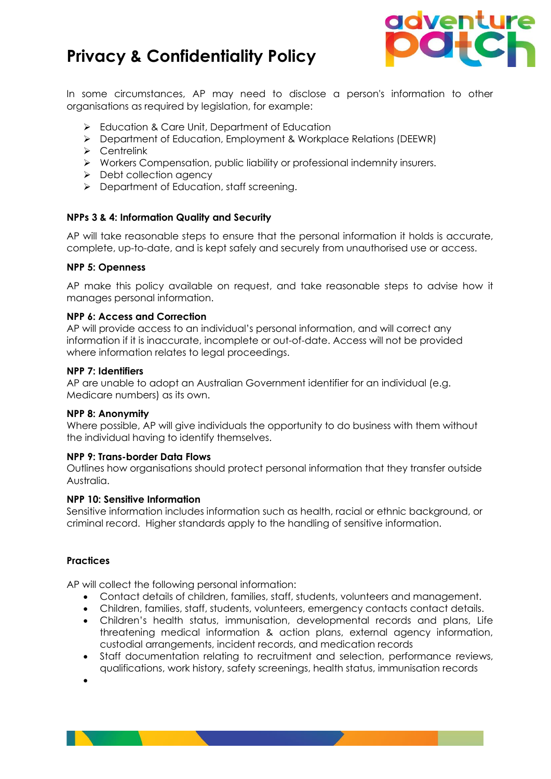# **Privacy & Confidentiality Policy**



In some circumstances, AP may need to disclose a person's information to other organisations as required by legislation, for example:

- ➢ Education & Care Unit, Department of Education
- ➢ Department of Education, Employment & Workplace Relations (DEEWR)
- ➢ Centrelink
- ➢ Workers Compensation, public liability or professional indemnity insurers.
- ➢ Debt collection agency
- ➢ Department of Education, staff screening.

## **NPPs 3 & 4: Information Quality and Security**

AP will take reasonable steps to ensure that the personal information it holds is accurate, complete, up-to-date, and is kept safely and securely from unauthorised use or access.

### **NPP 5: Openness**

AP make this policy available on request, and take reasonable steps to advise how it manages personal information.

## **NPP 6: Access and Correction**

AP will provide access to an individual's personal information, and will correct any information if it is inaccurate, incomplete or out-of-date. Access will not be provided where information relates to legal proceedings.

### **NPP 7: Identifiers**

AP are unable to adopt an Australian Government identifier for an individual (e.g. Medicare numbers) as its own.

### **NPP 8: Anonymity**

Where possible, AP will give individuals the opportunity to do business with them without the individual having to identify themselves.

## **NPP 9: Trans-border Data Flows**

Outlines how organisations should protect personal information that they transfer outside Australia.

### **NPP 10: Sensitive Information**

Sensitive information includes information such as health, racial or ethnic background, or criminal record. Higher standards apply to the handling of sensitive information.

## **Practices**

AP will collect the following personal information:

- Contact details of children, families, staff, students, volunteers and management.
- Children, families, staff, students, volunteers, emergency contacts contact details.
- Children's health status, immunisation, developmental records and plans, Life threatening medical information & action plans, external agency information, custodial arrangements, incident records, and medication records
- Staff documentation relating to recruitment and selection, performance reviews, qualifications, work history, safety screenings, health status, immunisation records

•